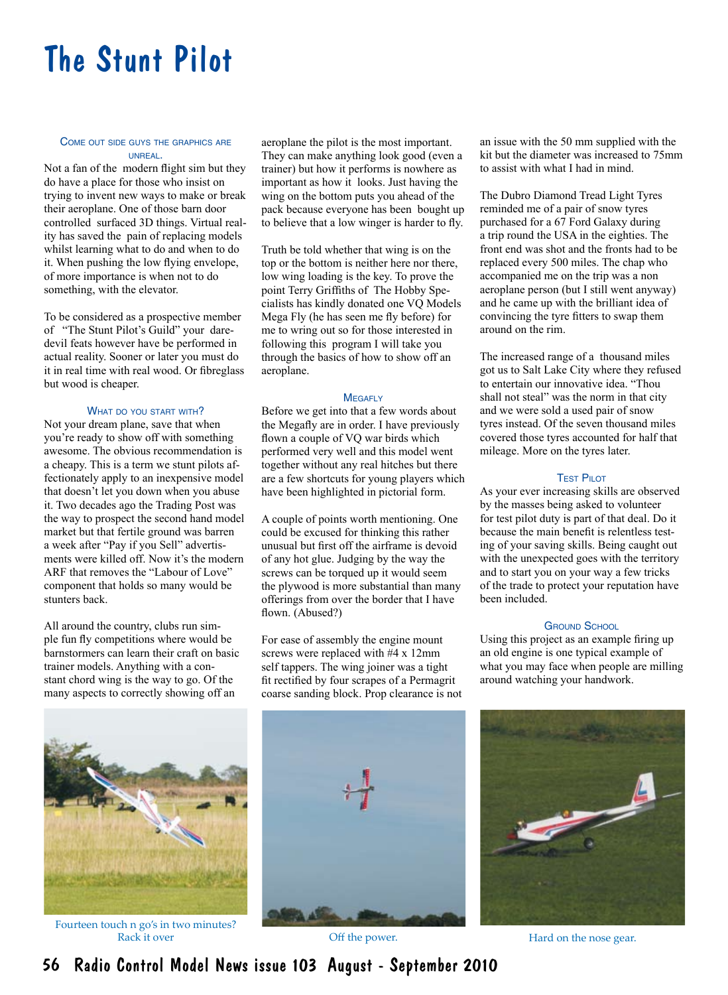# The Stunt Pilot

### Come out side guys the graphics are unreal.

Not a fan of the modern flight sim but they do have a place for those who insist on trying to invent new ways to make or break their aeroplane. One of those barn door controlled surfaced 3D things. Virtual reality has saved the pain of replacing models whilst learning what to do and when to do it. When pushing the low flying envelope, of more importance is when not to do something, with the elevator.

To be considered as a prospective member of "The Stunt Pilot's Guild" your daredevil feats however have be performed in actual reality. Sooner or later you must do it in real time with real wood. Or fibreglass but wood is cheaper.

#### WHAT DO YOU START WITH?

Not your dream plane, save that when you're ready to show off with something awesome. The obvious recommendation is a cheapy. This is a term we stunt pilots affectionately apply to an inexpensive model that doesn't let you down when you abuse it. Two decades ago the Trading Post was the way to prospect the second hand model market but that fertile ground was barren a week after "Pay if you Sell" advertisments were killed off. Now it's the modern ARF that removes the "Labour of Love" component that holds so many would be stunters back.

All around the country, clubs run simple fun fly competitions where would be barnstormers can learn their craft on basic trainer models. Anything with a constant chord wing is the way to go. Of the many aspects to correctly showing off an

aeroplane the pilot is the most important. They can make anything look good (even a trainer) but how it performs is nowhere as important as how it looks. Just having the wing on the bottom puts you ahead of the pack because everyone has been bought up to believe that a low winger is harder to fly.

Truth be told whether that wing is on the top or the bottom is neither here nor there, low wing loading is the key. To prove the point Terry Griffiths of The Hobby Specialists has kindly donated one VQ Models Mega Fly (he has seen me fly before) for me to wring out so for those interested in following this program I will take you through the basics of how to show off an aeroplane.

### **MEGAFLY**

Before we get into that a few words about the Megafly are in order. I have previously flown a couple of VQ war birds which performed very well and this model went together without any real hitches but there are a few shortcuts for young players which have been highlighted in pictorial form.

A couple of points worth mentioning. One could be excused for thinking this rather unusual but first off the airframe is devoid of any hot glue. Judging by the way the screws can be torqued up it would seem the plywood is more substantial than many offerings from over the border that I have flown. (Abused?)

For ease of assembly the engine mount screws were replaced with #4 x 12mm self tappers. The wing joiner was a tight fit rectified by four scrapes of a Permagrit coarse sanding block. Prop clearance is not



an issue with the 50 mm supplied with the kit but the diameter was increased to 75mm to assist with what I had in mind.

The Dubro Diamond Tread Light Tyres reminded me of a pair of snow tyres purchased for a 67 Ford Galaxy during a trip round the USA in the eighties. The front end was shot and the fronts had to be replaced every 500 miles. The chap who accompanied me on the trip was a non aeroplane person (but I still went anyway) and he came up with the brilliant idea of convincing the tyre fitters to swap them around on the rim.

The increased range of a thousand miles got us to Salt Lake City where they refused to entertain our innovative idea. "Thou shall not steal" was the norm in that city and we were sold a used pair of snow tyres instead. Of the seven thousand miles covered those tyres accounted for half that mileage. More on the tyres later.

### **TEST PILOT**

As your ever increasing skills are observed by the masses being asked to volunteer for test pilot duty is part of that deal. Do it because the main benefit is relentless testing of your saving skills. Being caught out with the unexpected goes with the territory and to start you on your way a few tricks of the trade to protect your reputation have been included.

#### **GROUND SCHOOL**

Using this project as an example firing up an old engine is one typical example of what you may face when people are milling around watching your handwork.





Fourteen touch n go's in two minutes? Rack it over **Rack it over the set of the power.** The March of the nose gear.

56 Radio Control Model News issue 103 August - September 2010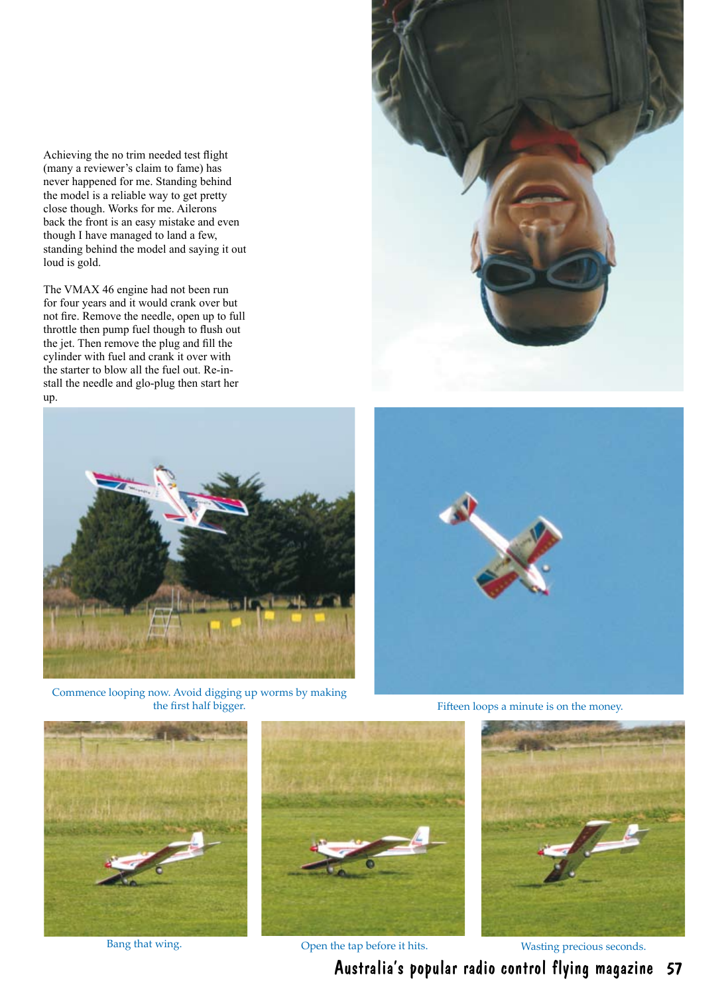Achieving the no trim needed test flight (many a reviewer's claim to fame) has never happened for me. Standing behind the model is a reliable way to get pretty close though. Works for me. Ailerons back the front is an easy mistake and even though I have managed to land a few, standing behind the model and saying it out loud is gold.

The VMAX 46 engine had not been run for four years and it would crank over but not fire. Remove the needle, open up to full throttle then pump fuel though to flush out the jet. Then remove the plug and fill the cylinder with fuel and crank it over with the starter to blow all the fuel out. Re-install the needle and glo-plug then start her up.





Commence looping now. Avoid digging up worms by making the first half bigger. Fifteen loops a minute is on the money.





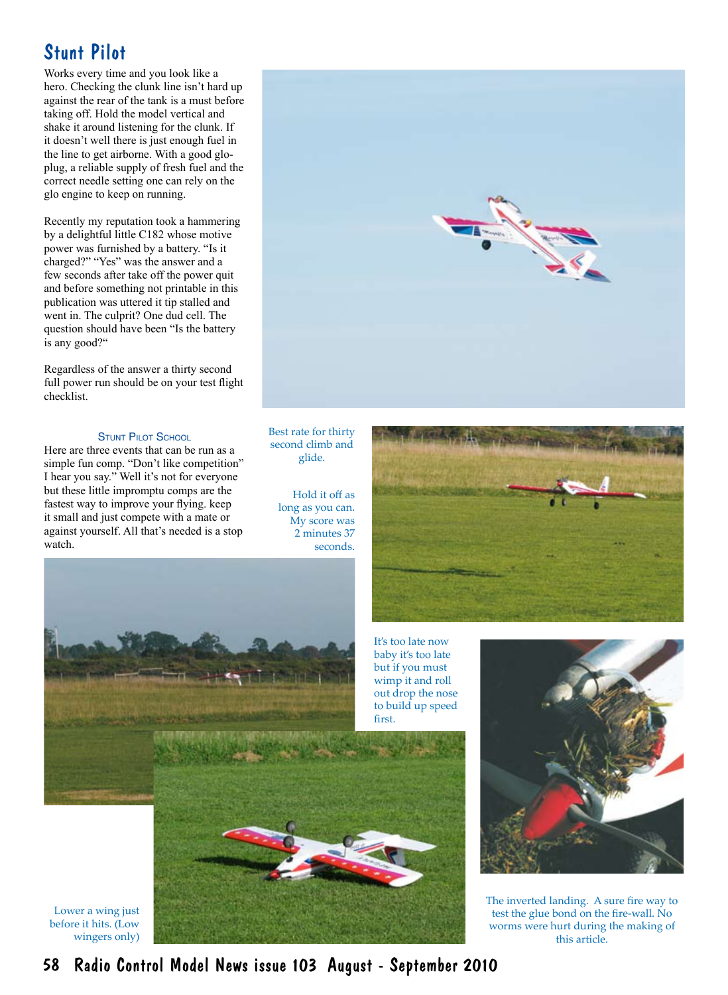Works every time and you look like a hero. Checking the clunk line isn't hard up against the rear of the tank is a must before taking off. Hold the model vertical and shake it around listening for the clunk. If it doesn't well there is just enough fuel in the line to get airborne. With a good gloplug, a reliable supply of fresh fuel and the correct needle setting one can rely on the glo engine to keep on running.

Recently my reputation took a hammering by a delightful little C182 whose motive power was furnished by a battery. "Is it charged?" "Yes" was the answer and a few seconds after take off the power quit and before something not printable in this publication was uttered it tip stalled and went in. The culprit? One dud cell. The question should have been "Is the battery is any good?"

Regardless of the answer a thirty second full power run should be on your test flight checklist.

# **STUNT PILOT SCHOOL**

Here are three events that can be run as a simple fun comp. "Don't like competition" I hear you say." Well it's not for everyone but these little impromptu comps are the fastest way to improve your flying. keep it small and just compete with a mate or against yourself. All that's needed is a stop watch.



Best rate for thirty second climb and glide.

> Hold it off as long as you can. My score was 2 minutes 37 seconds.







Lower a wing just before it hits. (Low wingers only)



It's too late now



The inverted landing. A sure fire way to test the glue bond on the fire-wall. No worms were hurt during the making of this article.

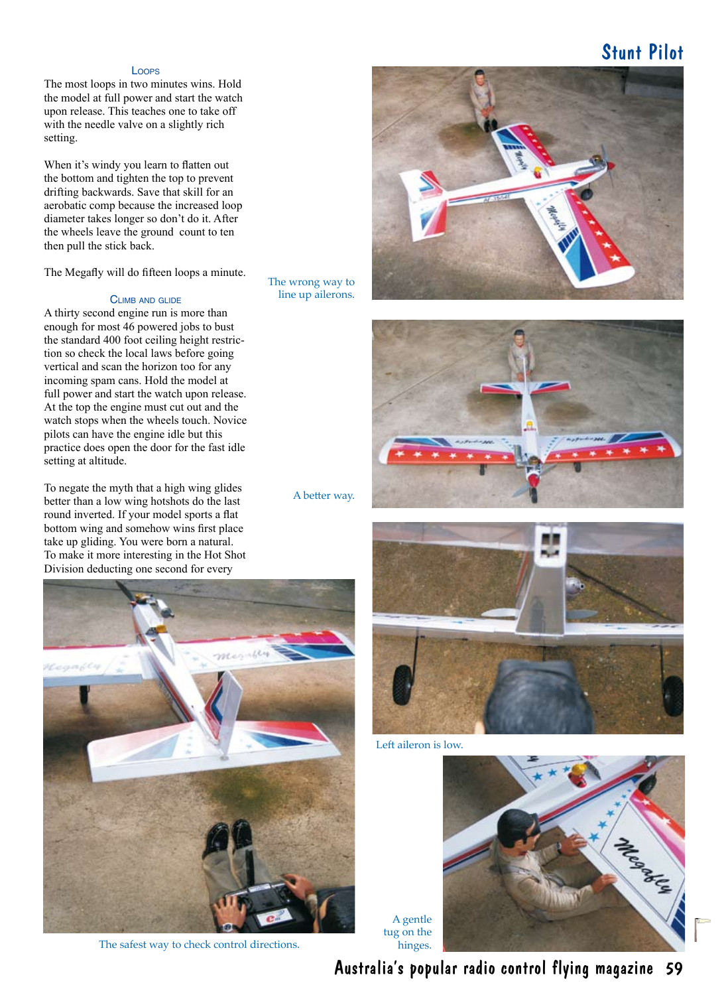# Loops

The most loops in two minutes wins. Hold the model at full power and start the watch upon release. This teaches one to take off with the needle valve on a slightly rich setting.

When it's windy you learn to flatten out the bottom and tighten the top to prevent drifting backwards. Save that skill for an aerobatic comp because the increased loop diameter takes longer so don't do it. After the wheels leave the ground count to ten then pull the stick back.

The Megafly will do fifteen loops a minute.

## Climb and glide

A thirty second engine run is more than enough for most 46 powered jobs to bust the standard 400 foot ceiling height restriction so check the local laws before going vertical and scan the horizon too for any incoming spam cans. Hold the model at full power and start the watch upon release. At the top the engine must cut out and the watch stops when the wheels touch. Novice pilots can have the engine idle but this practice does open the door for the fast idle setting at altitude.

To negate the myth that a high wing glides better than a low wing hotshots do the last round inverted. If your model sports a flat bottom wing and somehow wins first place take up gliding. You were born a natural. To make it more interesting in the Hot Shot Division deducting one second for every

The wrong way to line up ailerons.





A better way.



The safest way to check control directions.



Left aileron is low.

A gentle tug on the hinges.



Australia's popular radio control flying magazine 59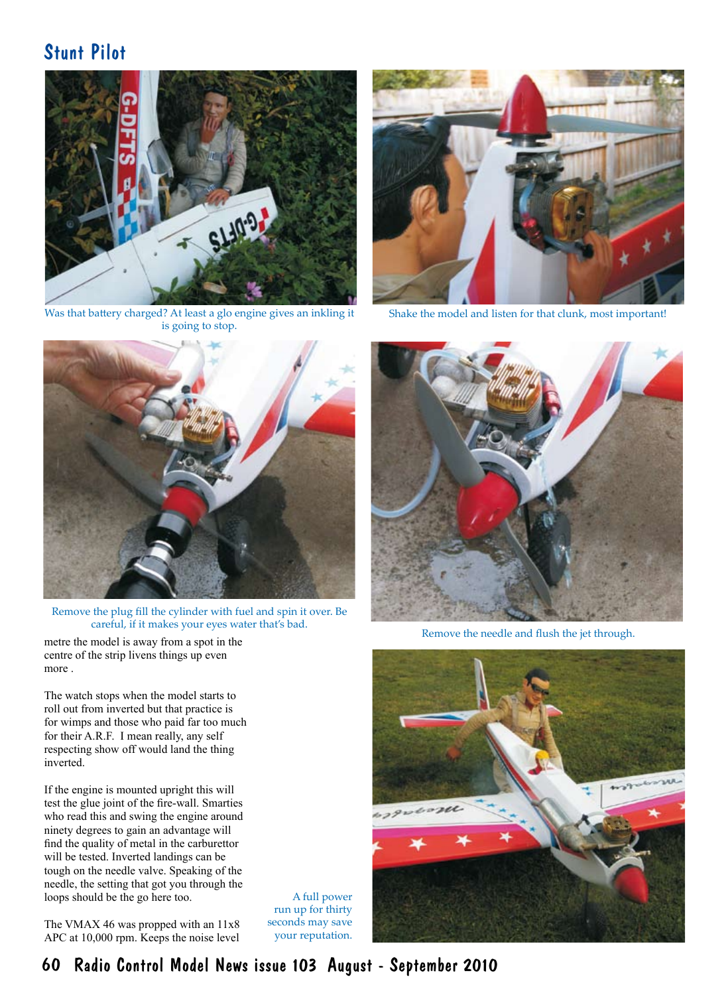

Was that battery charged? At least a glo engine gives an inkling it is going to stop.



Shake the model and listen for that clunk, most important!



Remove the plug fill the cylinder with fuel and spin it over. Be careful, if it makes your eyes water that's bad.

centre of the strip livens things up even more .

The watch stops when the model starts to roll out from inverted but that practice is for wimps and those who paid far too much for their A.R.F. I mean really, any self respecting show off would land the thing inverted.

If the engine is mounted upright this will test the glue joint of the fire-wall. Smarties who read this and swing the engine around ninety degrees to gain an advantage will find the quality of metal in the carburettor will be tested. Inverted landings can be tough on the needle valve. Speaking of the needle, the setting that got you through the loops should be the go here too.

The VMAX 46 was propped with an 11x8 APC at 10,000 rpm. Keeps the noise level

A full power run up for thirty seconds may save your reputation.



Remove the needle and flush the jet through.<br>
Remove the needle and flush the jet through.



60 Radio Control Model News issue 103 August - September 2010